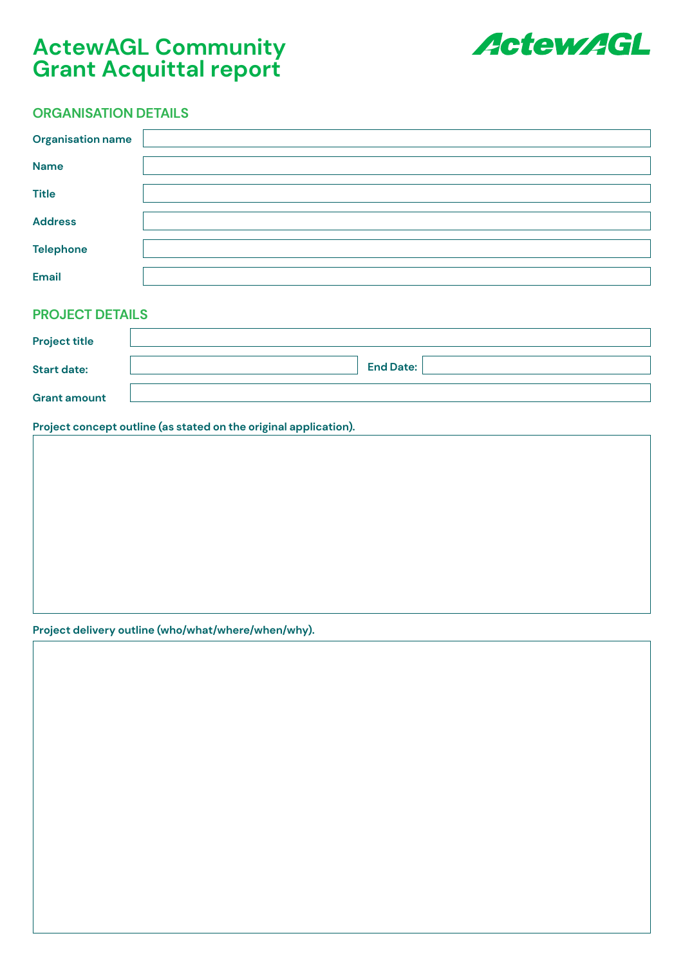# **ActewAGL Community Grant Acquittal report**



## **ORGANISATION DETAILS**

| <b>Organisation name</b> |  |
|--------------------------|--|
| <b>Name</b>              |  |
| <b>Title</b>             |  |
| <b>Address</b>           |  |
| <b>Telephone</b>         |  |
| <b>Email</b>             |  |

## **PROJECT DETAILS**

| <b>Project title</b> |                  |
|----------------------|------------------|
| <b>Start date:</b>   | <b>End Date:</b> |
| <b>Grant amount</b>  |                  |

### **Project concept outline (as stated on the original application).**

**Project delivery outline (who/what/where/when/why).**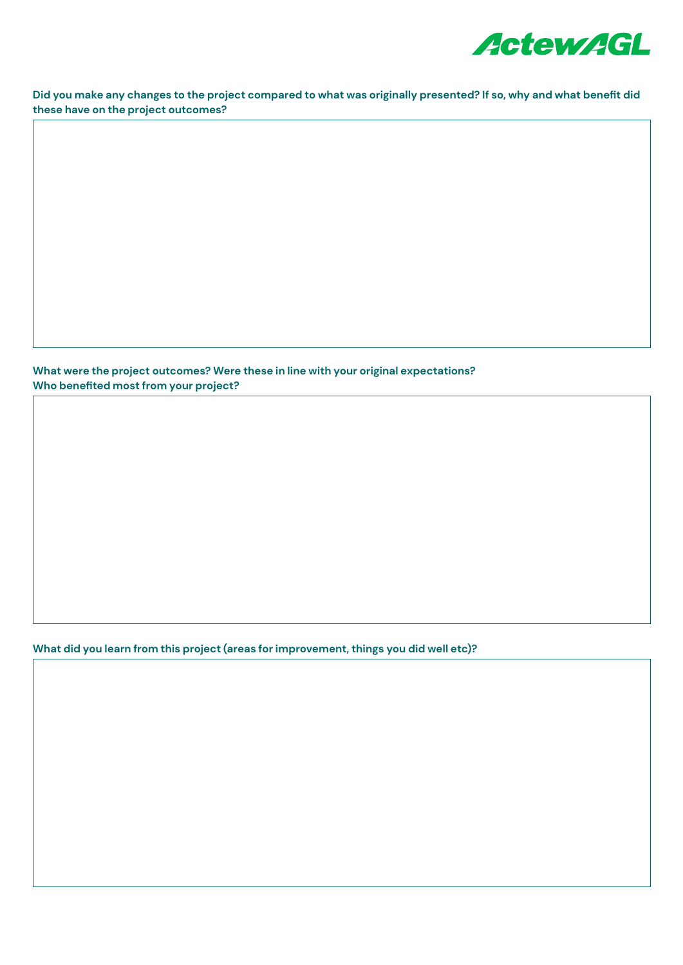

**Did you make any changes to the project compared to what was originally presented? If so, why and what benefit did these have on the project outcomes?**

**What were the project outcomes? Were these in line with your original expectations? Who benefited most from your project?**

**What did you learn from this project (areas for improvement, things you did well etc)?**